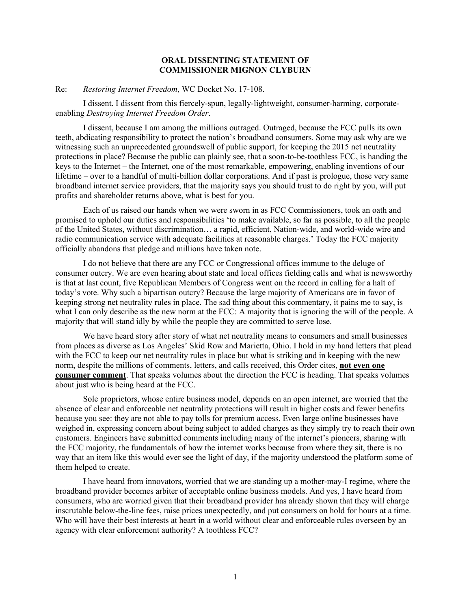## **ORAL DISSENTING STATEMENT OF COMMISSIONER MIGNON CLYBURN**

## Re: *Restoring Internet Freedom*, WC Docket No. 17-108.

I dissent. I dissent from this fiercely-spun, legally-lightweight, consumer-harming, corporateenabling *Destroying Internet Freedom Order*.

I dissent, because I am among the millions outraged. Outraged, because the FCC pulls its own teeth, abdicating responsibility to protect the nation's broadband consumers. Some may ask why are we witnessing such an unprecedented groundswell of public support, for keeping the 2015 net neutrality protections in place? Because the public can plainly see, that a soon-to-be-toothless FCC, is handing the keys to the Internet – the Internet, one of the most remarkable, empowering, enabling inventions of our lifetime – over to a handful of multi-billion dollar corporations. And if past is prologue, those very same broadband internet service providers, that the majority says you should trust to do right by you, will put profits and shareholder returns above, what is best for you.

Each of us raised our hands when we were sworn in as FCC Commissioners, took an oath and promised to uphold our duties and responsibilities 'to make available, so far as possible, to all the people of the United States, without discrimination… a rapid, efficient, Nation-wide, and world-wide wire and radio communication service with adequate facilities at reasonable charges.' Today the FCC majority officially abandons that pledge and millions have taken note.

I do not believe that there are any FCC or Congressional offices immune to the deluge of consumer outcry. We are even hearing about state and local offices fielding calls and what is newsworthy is that at last count, five Republican Members of Congress went on the record in calling for a halt of today's vote. Why such a bipartisan outcry? Because the large majority of Americans are in favor of keeping strong net neutrality rules in place. The sad thing about this commentary, it pains me to say, is what I can only describe as the new norm at the FCC: A majority that is ignoring the will of the people. A majority that will stand idly by while the people they are committed to serve lose.

We have heard story after story of what net neutrality means to consumers and small businesses from places as diverse as Los Angeles' Skid Row and Marietta, Ohio. I hold in my hand letters that plead with the FCC to keep our net neutrality rules in place but what is striking and in keeping with the new norm, despite the millions of comments, letters, and calls received, this Order cites, **not even one consumer comment**. That speaks volumes about the direction the FCC is heading. That speaks volumes about just who is being heard at the FCC.

Sole proprietors, whose entire business model, depends on an open internet, are worried that the absence of clear and enforceable net neutrality protections will result in higher costs and fewer benefits because you see: they are not able to pay tolls for premium access. Even large online businesses have weighed in, expressing concern about being subject to added charges as they simply try to reach their own customers. Engineers have submitted comments including many of the internet's pioneers, sharing with the FCC majority, the fundamentals of how the internet works because from where they sit, there is no way that an item like this would ever see the light of day, if the majority understood the platform some of them helped to create.

I have heard from innovators, worried that we are standing up a mother-may-I regime, where the broadband provider becomes arbiter of acceptable online business models. And yes, I have heard from consumers, who are worried given that their broadband provider has already shown that they will charge inscrutable below-the-line fees, raise prices unexpectedly, and put consumers on hold for hours at a time. Who will have their best interests at heart in a world without clear and enforceable rules overseen by an agency with clear enforcement authority? A toothless FCC?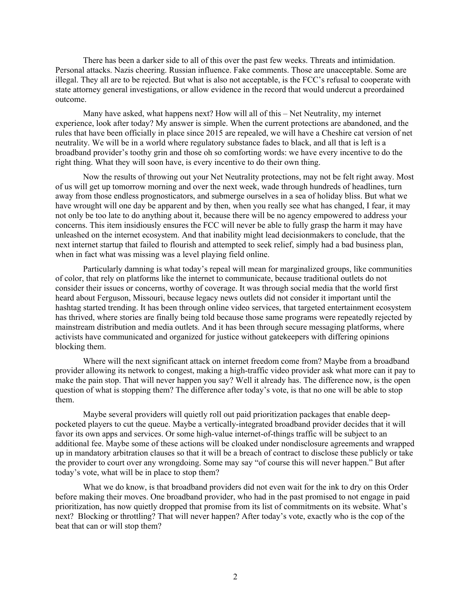There has been a darker side to all of this over the past few weeks. Threats and intimidation. Personal attacks. Nazis cheering. Russian influence. Fake comments. Those are unacceptable. Some are illegal. They all are to be rejected. But what is also not acceptable, is the FCC's refusal to cooperate with state attorney general investigations, or allow evidence in the record that would undercut a preordained outcome.

Many have asked, what happens next? How will all of this – Net Neutrality, my internet experience, look after today? My answer is simple. When the current protections are abandoned, and the rules that have been officially in place since 2015 are repealed, we will have a Cheshire cat version of net neutrality. We will be in a world where regulatory substance fades to black, and all that is left is a broadband provider's toothy grin and those oh so comforting words: we have every incentive to do the right thing. What they will soon have, is every incentive to do their own thing.

Now the results of throwing out your Net Neutrality protections, may not be felt right away. Most of us will get up tomorrow morning and over the next week, wade through hundreds of headlines, turn away from those endless prognosticators, and submerge ourselves in a sea of holiday bliss. But what we have wrought will one day be apparent and by then, when you really see what has changed, I fear, it may not only be too late to do anything about it, because there will be no agency empowered to address your concerns. This item insidiously ensures the FCC will never be able to fully grasp the harm it may have unleashed on the internet ecosystem. And that inability might lead decisionmakers to conclude, that the next internet startup that failed to flourish and attempted to seek relief, simply had a bad business plan, when in fact what was missing was a level playing field online.

Particularly damning is what today's repeal will mean for marginalized groups, like communities of color, that rely on platforms like the internet to communicate, because traditional outlets do not consider their issues or concerns, worthy of coverage. It was through social media that the world first heard about Ferguson, Missouri, because legacy news outlets did not consider it important until the hashtag started trending. It has been through online video services, that targeted entertainment ecosystem has thrived, where stories are finally being told because those same programs were repeatedly rejected by mainstream distribution and media outlets. And it has been through secure messaging platforms, where activists have communicated and organized for justice without gatekeepers with differing opinions blocking them.

Where will the next significant attack on internet freedom come from? Maybe from a broadband provider allowing its network to congest, making a high-traffic video provider ask what more can it pay to make the pain stop. That will never happen you say? Well it already has. The difference now, is the open question of what is stopping them? The difference after today's vote, is that no one will be able to stop them.

Maybe several providers will quietly roll out paid prioritization packages that enable deeppocketed players to cut the queue. Maybe a vertically-integrated broadband provider decides that it will favor its own apps and services. Or some high-value internet-of-things traffic will be subject to an additional fee. Maybe some of these actions will be cloaked under nondisclosure agreements and wrapped up in mandatory arbitration clauses so that it will be a breach of contract to disclose these publicly or take the provider to court over any wrongdoing. Some may say "of course this will never happen." But after today's vote, what will be in place to stop them?

What we do know, is that broadband providers did not even wait for the ink to dry on this Order before making their moves. One broadband provider, who had in the past promised to not engage in paid prioritization, has now quietly dropped that promise from its list of commitments on its website. What's next? Blocking or throttling? That will never happen? After today's vote, exactly who is the cop of the beat that can or will stop them?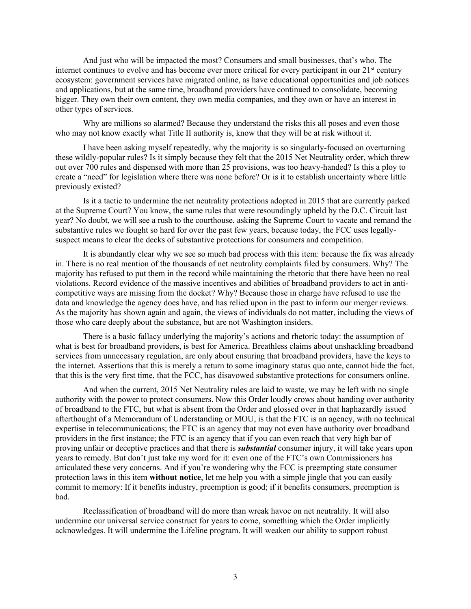And just who will be impacted the most? Consumers and small businesses, that's who. The internet continues to evolve and has become ever more critical for every participant in our  $21<sup>st</sup>$  century ecosystem: government services have migrated online, as have educational opportunities and job notices and applications, but at the same time, broadband providers have continued to consolidate, becoming bigger. They own their own content, they own media companies, and they own or have an interest in other types of services.

Why are millions so alarmed? Because they understand the risks this all poses and even those who may not know exactly what Title II authority is, know that they will be at risk without it.

I have been asking myself repeatedly, why the majority is so singularly-focused on overturning these wildly-popular rules? Is it simply because they felt that the 2015 Net Neutrality order, which threw out over 700 rules and dispensed with more than 25 provisions, was too heavy-handed? Is this a ploy to create a "need" for legislation where there was none before? Or is it to establish uncertainty where little previously existed?

Is it a tactic to undermine the net neutrality protections adopted in 2015 that are currently parked at the Supreme Court? You know, the same rules that were resoundingly upheld by the D.C. Circuit last year? No doubt, we will see a rush to the courthouse, asking the Supreme Court to vacate and remand the substantive rules we fought so hard for over the past few years, because today, the FCC uses legallysuspect means to clear the decks of substantive protections for consumers and competition.

It is abundantly clear why we see so much bad process with this item: because the fix was already in. There is no real mention of the thousands of net neutrality complaints filed by consumers. Why? The majority has refused to put them in the record while maintaining the rhetoric that there have been no real violations. Record evidence of the massive incentives and abilities of broadband providers to act in anticompetitive ways are missing from the docket? Why? Because those in charge have refused to use the data and knowledge the agency does have, and has relied upon in the past to inform our merger reviews. As the majority has shown again and again, the views of individuals do not matter, including the views of those who care deeply about the substance, but are not Washington insiders.

There is a basic fallacy underlying the majority's actions and rhetoric today: the assumption of what is best for broadband providers, is best for America. Breathless claims about unshackling broadband services from unnecessary regulation, are only about ensuring that broadband providers, have the keys to the internet. Assertions that this is merely a return to some imaginary status quo ante, cannot hide the fact, that this is the very first time, that the FCC, has disavowed substantive protections for consumers online.

And when the current, 2015 Net Neutrality rules are laid to waste, we may be left with no single authority with the power to protect consumers. Now this Order loudly crows about handing over authority of broadband to the FTC, but what is absent from the Order and glossed over in that haphazardly issued afterthought of a Memorandum of Understanding or MOU, is that the FTC is an agency, with no technical expertise in telecommunications; the FTC is an agency that may not even have authority over broadband providers in the first instance; the FTC is an agency that if you can even reach that very high bar of proving unfair or deceptive practices and that there is *substantial* consumer injury, it will take years upon years to remedy. But don't just take my word for it: even one of the FTC's own Commissioners has articulated these very concerns. And if you're wondering why the FCC is preempting state consumer protection laws in this item **without notice**, let me help you with a simple jingle that you can easily commit to memory: If it benefits industry, preemption is good; if it benefits consumers, preemption is bad.

Reclassification of broadband will do more than wreak havoc on net neutrality. It will also undermine our universal service construct for years to come, something which the Order implicitly acknowledges. It will undermine the Lifeline program. It will weaken our ability to support robust